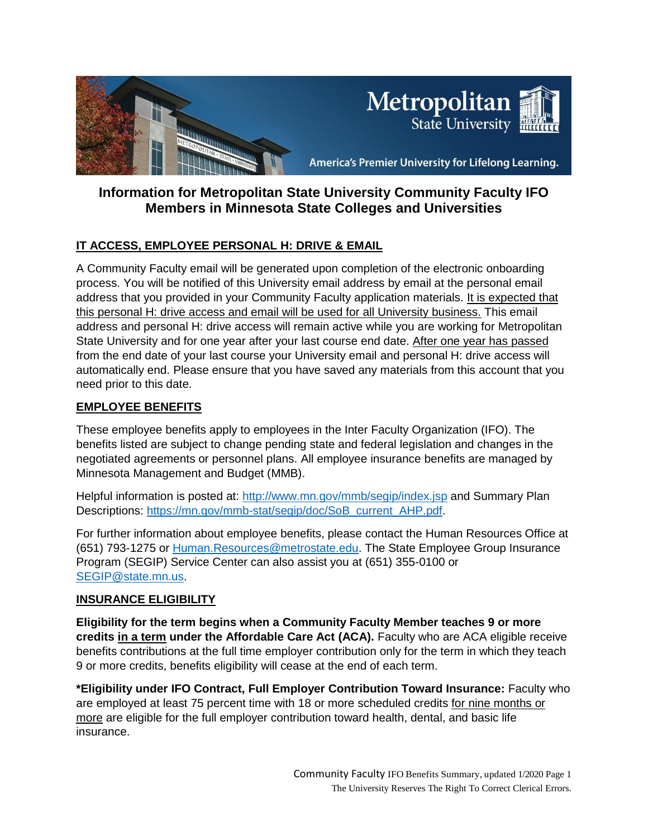

# **Information for Metropolitan State University Community Faculty IFO Members in Minnesota State Colleges and Universities**

# **IT ACCESS, EMPLOYEE PERSONAL H: DRIVE & EMAIL**

A Community Faculty email will be generated upon completion of the electronic onboarding process. You will be notified of this University email address by email at the personal email address that you provided in your Community Faculty application materials. It is expected that this personal H: drive access and email will be used for all University business. This email address and personal H: drive access will remain active while you are working for Metropolitan State University and for one year after your last course end date. After one year has passed from the end date of your last course your University email and personal H: drive access will automatically end. Please ensure that you have saved any materials from this account that you need prior to this date.

### **EMPLOYEE BENEFITS**

These employee benefits apply to employees in the Inter Faculty Organization (IFO). The benefits listed are subject to change pending state and federal legislation and changes in the negotiated agreements or personnel plans. All employee insurance benefits are managed by Minnesota Management and Budget (MMB).

Helpful information is posted at:<http://www.mn.gov/mmb/segip/index.jsp> and Summary Plan Descriptions: https://mn.gov/mmb-stat/segip/doc/SoB\_current\_AHP.pdf.

For further information about employee benefits, please contact the Human Resources Office at (651) 793-1275 or [Human.Resources@metrostate.edu.](mailto:Human.Resources@metrostate.edu) The State Employee Group Insurance Program (SEGIP) Service Center can also assist you at (651) 355-0100 or [SEGIP@state.mn.us.](mailto:SEGIP@state.mn.us)

#### **INSURANCE ELIGIBILITY**

**Eligibility for the term begins when a Community Faculty Member teaches 9 or more credits in a term under the Affordable Care Act (ACA).** Faculty who are ACA eligible receive benefits contributions at the full time employer contribution only for the term in which they teach 9 or more credits, benefits eligibility will cease at the end of each term.

**\*Eligibility under IFO Contract, Full Employer Contribution Toward Insurance:** Faculty who are employed at least 75 percent time with 18 or more scheduled credits for nine months or more are eligible for the full employer contribution toward health, dental, and basic life insurance.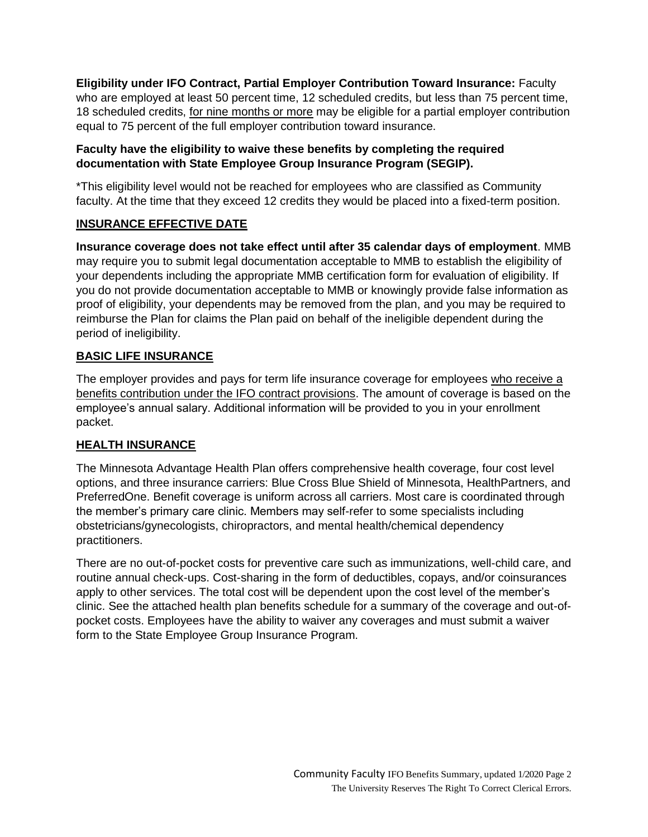**Eligibility under IFO Contract, Partial Employer Contribution Toward Insurance:** Faculty who are employed at least 50 percent time, 12 scheduled credits, but less than 75 percent time, 18 scheduled credits, for nine months or more may be eligible for a partial employer contribution equal to 75 percent of the full employer contribution toward insurance.

### **Faculty have the eligibility to waive these benefits by completing the required documentation with State Employee Group Insurance Program (SEGIP).**

\*This eligibility level would not be reached for employees who are classified as Community faculty. At the time that they exceed 12 credits they would be placed into a fixed-term position.

# **INSURANCE EFFECTIVE DATE**

**Insurance coverage does not take effect until after 35 calendar days of employment**. MMB may require you to submit legal documentation acceptable to MMB to establish the eligibility of your dependents including the appropriate MMB certification form for evaluation of eligibility. If you do not provide documentation acceptable to MMB or knowingly provide false information as proof of eligibility, your dependents may be removed from the plan, and you may be required to reimburse the Plan for claims the Plan paid on behalf of the ineligible dependent during the period of ineligibility.

# **BASIC LIFE INSURANCE**

The employer provides and pays for term life insurance coverage for employees who receive a benefits contribution under the IFO contract provisions. The amount of coverage is based on the employee's annual salary. Additional information will be provided to you in your enrollment packet.

#### **HEALTH INSURANCE**

The Minnesota Advantage Health Plan offers comprehensive health coverage, four cost level options, and three insurance carriers: Blue Cross Blue Shield of Minnesota, HealthPartners, and PreferredOne. Benefit coverage is uniform across all carriers. Most care is coordinated through the member's primary care clinic. Members may self-refer to some specialists including obstetricians/gynecologists, chiropractors, and mental health/chemical dependency practitioners.

There are no out-of-pocket costs for preventive care such as immunizations, well-child care, and routine annual check-ups. Cost-sharing in the form of deductibles, copays, and/or coinsurances apply to other services. The total cost will be dependent upon the cost level of the member's clinic. See the attached health plan benefits schedule for a summary of the coverage and out-ofpocket costs. Employees have the ability to waiver any coverages and must submit a waiver form to the State Employee Group Insurance Program.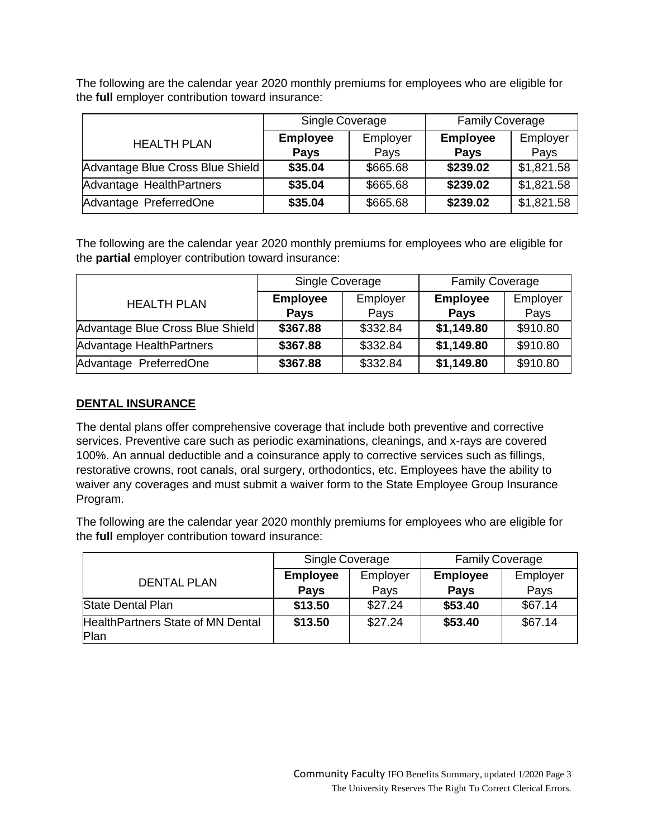The following are the calendar year 2020 monthly premiums for employees who are eligible for the **full** employer contribution toward insurance:

|                                  | Single Coverage |          | <b>Family Coverage</b> |            |
|----------------------------------|-----------------|----------|------------------------|------------|
| <b>HEALTH PLAN</b>               | <b>Employee</b> | Employer | <b>Employee</b>        | Employer   |
|                                  | <b>Pays</b>     | Pays     | <b>Pays</b>            | Pays       |
| Advantage Blue Cross Blue Shield | \$35.04         | \$665.68 | \$239.02               | \$1,821.58 |
| Advantage HealthPartners         | \$35.04         | \$665.68 | \$239.02               | \$1,821.58 |
| Advantage PreferredOne           | \$35.04         | \$665.68 | \$239.02               | \$1,821.58 |

The following are the calendar year 2020 monthly premiums for employees who are eligible for the **partial** employer contribution toward insurance:

|                                  | Single Coverage |          | <b>Family Coverage</b> |          |
|----------------------------------|-----------------|----------|------------------------|----------|
| <b>HEALTH PLAN</b>               | <b>Employee</b> | Employer | <b>Employee</b>        | Employer |
|                                  | <b>Pays</b>     | Pays     | <b>Pays</b>            | Pays     |
| Advantage Blue Cross Blue Shield | \$367.88        | \$332.84 | \$1,149.80             | \$910.80 |
| Advantage HealthPartners         | \$367.88        | \$332.84 | \$1,149.80             | \$910.80 |
| Advantage PreferredOne           | \$367.88        | \$332.84 | \$1,149.80             | \$910.80 |

#### **DENTAL INSURANCE**

The dental plans offer comprehensive coverage that include both preventive and corrective services. Preventive care such as periodic examinations, cleanings, and x-rays are covered 100%. An annual deductible and a coinsurance apply to corrective services such as fillings, restorative crowns, root canals, oral surgery, orthodontics, etc. Employees have the ability to waiver any coverages and must submit a waiver form to the State Employee Group Insurance Program.

The following are the calendar year 2020 monthly premiums for employees who are eligible for the **full** employer contribution toward insurance:

|                                   | Single Coverage |          | <b>Family Coverage</b> |          |
|-----------------------------------|-----------------|----------|------------------------|----------|
| <b>DENTAL PLAN</b>                | <b>Employee</b> | Employer | <b>Employee</b>        | Employer |
|                                   | <b>Pays</b>     | Pays     | <b>Pays</b>            | Pays     |
| <b>State Dental Plan</b>          | \$13.50         | \$27.24  | \$53.40                | \$67.14  |
| HealthPartners State of MN Dental | \$13.50         | \$27.24  | \$53.40                | \$67.14  |
| Plan                              |                 |          |                        |          |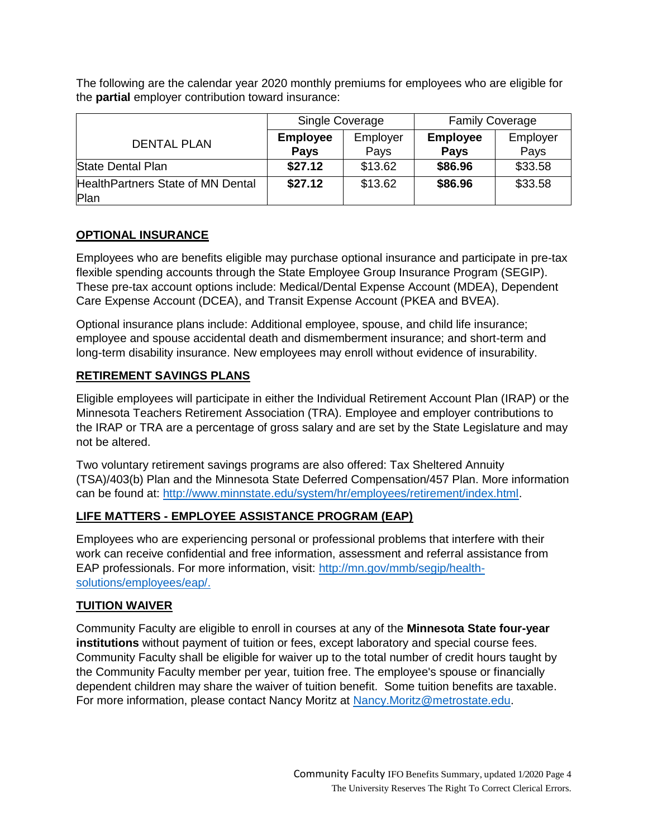The following are the calendar year 2020 monthly premiums for employees who are eligible for the **partial** employer contribution toward insurance:

|                                   | Single Coverage |          | <b>Family Coverage</b> |          |
|-----------------------------------|-----------------|----------|------------------------|----------|
| <b>DENTAL PLAN</b>                | <b>Employee</b> | Employer | <b>Employee</b>        | Employer |
|                                   | <b>Pays</b>     | Pays     | <b>Pays</b>            | Pays     |
| <b>State Dental Plan</b>          | \$27.12         | \$13.62  | \$86.96                | \$33.58  |
| HealthPartners State of MN Dental | \$27.12         | \$13.62  | \$86.96                | \$33.58  |
| Plan                              |                 |          |                        |          |

# **OPTIONAL INSURANCE**

Employees who are benefits eligible may purchase optional insurance and participate in pre-tax flexible spending accounts through the State Employee Group Insurance Program (SEGIP). These pre-tax account options include: Medical/Dental Expense Account (MDEA), Dependent Care Expense Account (DCEA), and Transit Expense Account (PKEA and BVEA).

Optional insurance plans include: Additional employee, spouse, and child life insurance; employee and spouse accidental death and dismemberment insurance; and short-term and long-term disability insurance. New employees may enroll without evidence of insurability.

### **RETIREMENT SAVINGS PLANS**

Eligible employees will participate in either the Individual Retirement Account Plan (IRAP) or the Minnesota Teachers Retirement Association (TRA). Employee and employer contributions to the IRAP or TRA are a percentage of gross salary and are set by the State Legislature and may not be altered.

Two voluntary retirement savings programs are also offered: Tax Sheltered Annuity (TSA)/403(b) Plan and the Minnesota State Deferred Compensation/457 Plan. More information can be found at: [http://www.minnstate.edu/system/hr/employees/retirement/index.html.](http://www.minnstate.edu/system/hr/employees/retirement/index.html)

# **LIFE MATTERS - EMPLOYEE ASSISTANCE PROGRAM (EAP)**

Employees who are experiencing personal or professional problems that interfere with their work can receive confidential and free information, assessment and referral assistance from EAP professionals. For more information, visit: [http://mn.gov/mmb/segip/health](http://mn.gov/mmb/segip/health-solutions/employees/eap/)[solutions/employees/eap/.](http://mn.gov/mmb/segip/health-solutions/employees/eap/)

#### **TUITION WAIVER**

Community Faculty are eligible to enroll in courses at any of the **Minnesota State four-year institutions** without payment of tuition or fees, except laboratory and special course fees. Community Faculty shall be eligible for waiver up to the total number of credit hours taught by the Community Faculty member per year, tuition free. The employee's spouse or financially dependent children may share the waiver of tuition benefit. Some tuition benefits are taxable. For more information, please contact Nancy Moritz at [Nancy.Moritz@metrostate.edu.](mailto:Nancy.Moritz@metrostate.edu)